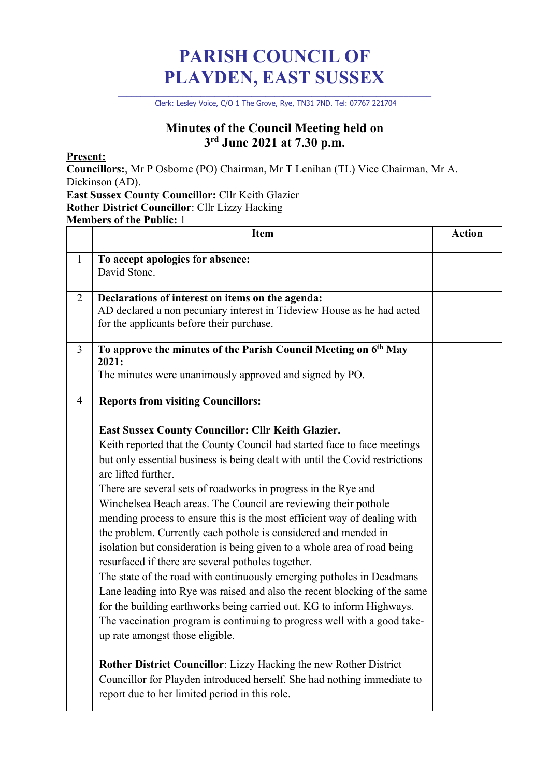# **PARISH COUNCIL OF PLAYDEN, EAST SUSSEX**

\_\_\_\_\_\_\_\_\_\_\_\_\_\_\_\_\_\_\_\_\_\_\_\_\_\_\_\_\_\_\_\_\_\_\_\_\_\_\_\_\_\_\_\_\_\_\_\_\_\_\_\_\_\_\_\_\_\_\_\_\_\_\_\_\_\_\_\_ Clerk: Lesley Voice, C/O 1 The Grove, Rye, TN31 7ND. Tel: 07767 221704

### **Minutes of the Council Meeting held on 3rd June 2021 at 7.30 p.m.**

#### **Present:**

**Councillors:**, Mr P Osborne (PO) Chairman, Mr T Lenihan (TL) Vice Chairman, Mr A. Dickinson (AD).

#### **East Sussex County Councillor:** Cllr Keith Glazier **Rother District Councillor**: Cllr Lizzy Hacking

**Members of the Public:** 1

|                | Item                                                                                                                                                                                                                                                                                                                                                                                                                                                                                                                                                                                                                                                                                                                                                                                                                                                                                                                                                                                                      | <b>Action</b> |
|----------------|-----------------------------------------------------------------------------------------------------------------------------------------------------------------------------------------------------------------------------------------------------------------------------------------------------------------------------------------------------------------------------------------------------------------------------------------------------------------------------------------------------------------------------------------------------------------------------------------------------------------------------------------------------------------------------------------------------------------------------------------------------------------------------------------------------------------------------------------------------------------------------------------------------------------------------------------------------------------------------------------------------------|---------------|
| $\mathbf{1}$   | To accept apologies for absence:<br>David Stone.                                                                                                                                                                                                                                                                                                                                                                                                                                                                                                                                                                                                                                                                                                                                                                                                                                                                                                                                                          |               |
| 2              | Declarations of interest on items on the agenda:<br>AD declared a non pecuniary interest in Tideview House as he had acted<br>for the applicants before their purchase.                                                                                                                                                                                                                                                                                                                                                                                                                                                                                                                                                                                                                                                                                                                                                                                                                                   |               |
| $\overline{3}$ | To approve the minutes of the Parish Council Meeting on 6 <sup>th</sup> May<br>2021:<br>The minutes were unanimously approved and signed by PO.                                                                                                                                                                                                                                                                                                                                                                                                                                                                                                                                                                                                                                                                                                                                                                                                                                                           |               |
| $\overline{4}$ | <b>Reports from visiting Councillors:</b>                                                                                                                                                                                                                                                                                                                                                                                                                                                                                                                                                                                                                                                                                                                                                                                                                                                                                                                                                                 |               |
|                | East Sussex County Councillor: Cllr Keith Glazier.<br>Keith reported that the County Council had started face to face meetings<br>but only essential business is being dealt with until the Covid restrictions<br>are lifted further.<br>There are several sets of roadworks in progress in the Rye and<br>Winchelsea Beach areas. The Council are reviewing their pothole<br>mending process to ensure this is the most efficient way of dealing with<br>the problem. Currently each pothole is considered and mended in<br>isolation but consideration is being given to a whole area of road being<br>resurfaced if there are several potholes together.<br>The state of the road with continuously emerging potholes in Deadmans<br>Lane leading into Rye was raised and also the recent blocking of the same<br>for the building earthworks being carried out. KG to inform Highways.<br>The vaccination program is continuing to progress well with a good take-<br>up rate amongst those eligible. |               |
|                | Rother District Councillor: Lizzy Hacking the new Rother District<br>Councillor for Playden introduced herself. She had nothing immediate to<br>report due to her limited period in this role.                                                                                                                                                                                                                                                                                                                                                                                                                                                                                                                                                                                                                                                                                                                                                                                                            |               |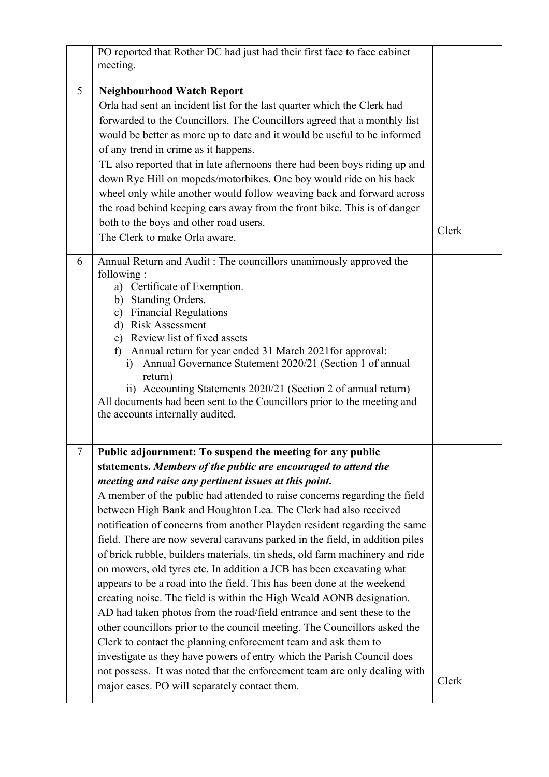|        | PO reported that Rother DC had just had their first face to face cabinet<br>meeting.                                                                                                                                                                                                                                                                                                                                                                                                                                                                                                                                                                                                                                                                                                                                                                                                                                                                                                                                                                                                                                                                                                                                                        |       |
|--------|---------------------------------------------------------------------------------------------------------------------------------------------------------------------------------------------------------------------------------------------------------------------------------------------------------------------------------------------------------------------------------------------------------------------------------------------------------------------------------------------------------------------------------------------------------------------------------------------------------------------------------------------------------------------------------------------------------------------------------------------------------------------------------------------------------------------------------------------------------------------------------------------------------------------------------------------------------------------------------------------------------------------------------------------------------------------------------------------------------------------------------------------------------------------------------------------------------------------------------------------|-------|
| 5      | <b>Neighbourhood Watch Report</b><br>Orla had sent an incident list for the last quarter which the Clerk had<br>forwarded to the Councillors. The Councillors agreed that a monthly list<br>would be better as more up to date and it would be useful to be informed<br>of any trend in crime as it happens.<br>TL also reported that in late afternoons there had been boys riding up and<br>down Rye Hill on mopeds/motorbikes. One boy would ride on his back<br>wheel only while another would follow weaving back and forward across<br>the road behind keeping cars away from the front bike. This is of danger<br>both to the boys and other road users.<br>The Clerk to make Orla aware.                                                                                                                                                                                                                                                                                                                                                                                                                                                                                                                                            | Clerk |
| 6      | Annual Return and Audit : The councillors unanimously approved the<br>following:<br>a) Certificate of Exemption.<br>Standing Orders.<br>b)<br>c) Financial Regulations<br>d) Risk Assessment<br>e) Review list of fixed assets<br>f) Annual return for year ended 31 March 2021 for approval:<br>i) Annual Governance Statement 2020/21 (Section 1 of annual<br>return)<br>ii) Accounting Statements 2020/21 (Section 2 of annual return)<br>All documents had been sent to the Councillors prior to the meeting and<br>the accounts internally audited.                                                                                                                                                                                                                                                                                                                                                                                                                                                                                                                                                                                                                                                                                    |       |
| $\tau$ | Public adjournment: To suspend the meeting for any public<br>statements. Members of the public are encouraged to attend the<br>meeting and raise any pertinent issues at this point.<br>A member of the public had attended to raise concerns regarding the field<br>between High Bank and Houghton Lea. The Clerk had also received<br>notification of concerns from another Playden resident regarding the same<br>field. There are now several caravans parked in the field, in addition piles<br>of brick rubble, builders materials, tin sheds, old farm machinery and ride<br>on mowers, old tyres etc. In addition a JCB has been excavating what<br>appears to be a road into the field. This has been done at the weekend<br>creating noise. The field is within the High Weald AONB designation.<br>AD had taken photos from the road/field entrance and sent these to the<br>other councillors prior to the council meeting. The Councillors asked the<br>Clerk to contact the planning enforcement team and ask them to<br>investigate as they have powers of entry which the Parish Council does<br>not possess. It was noted that the enforcement team are only dealing with<br>major cases. PO will separately contact them. | Clerk |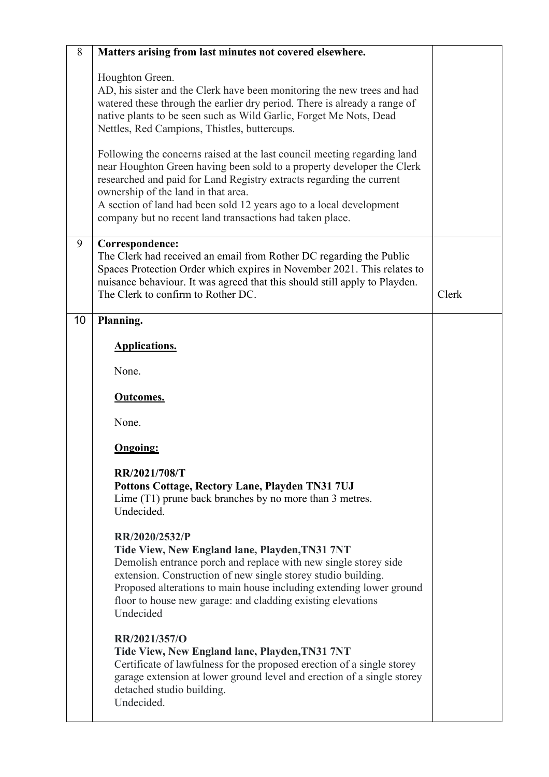| 8  | Matters arising from last minutes not covered elsewhere.                                                                                                                                                                                                                                                                                                                                             |       |
|----|------------------------------------------------------------------------------------------------------------------------------------------------------------------------------------------------------------------------------------------------------------------------------------------------------------------------------------------------------------------------------------------------------|-------|
|    | Houghton Green.<br>AD, his sister and the Clerk have been monitoring the new trees and had<br>watered these through the earlier dry period. There is already a range of<br>native plants to be seen such as Wild Garlic, Forget Me Nots, Dead<br>Nettles, Red Campions, Thistles, buttercups.                                                                                                        |       |
|    | Following the concerns raised at the last council meeting regarding land<br>near Houghton Green having been sold to a property developer the Clerk<br>researched and paid for Land Registry extracts regarding the current<br>ownership of the land in that area.<br>A section of land had been sold 12 years ago to a local development<br>company but no recent land transactions had taken place. |       |
| 9  | Correspondence:<br>The Clerk had received an email from Rother DC regarding the Public<br>Spaces Protection Order which expires in November 2021. This relates to<br>nuisance behaviour. It was agreed that this should still apply to Playden.<br>The Clerk to confirm to Rother DC.                                                                                                                | Clerk |
| 10 | Planning.                                                                                                                                                                                                                                                                                                                                                                                            |       |
|    | <b>Applications.</b>                                                                                                                                                                                                                                                                                                                                                                                 |       |
|    | None.                                                                                                                                                                                                                                                                                                                                                                                                |       |
|    | <b>Outcomes.</b>                                                                                                                                                                                                                                                                                                                                                                                     |       |
|    | None.                                                                                                                                                                                                                                                                                                                                                                                                |       |
|    | <b>Ongoing:</b>                                                                                                                                                                                                                                                                                                                                                                                      |       |
|    | RR/2021/708/T<br>Pottons Cottage, Rectory Lane, Playden TN31 7UJ<br>Lime (T1) prune back branches by no more than 3 metres.<br>Undecided.                                                                                                                                                                                                                                                            |       |
|    | RR/2020/2532/P<br>Tide View, New England lane, Playden, TN31 7NT<br>Demolish entrance porch and replace with new single storey side<br>extension. Construction of new single storey studio building.<br>Proposed alterations to main house including extending lower ground<br>floor to house new garage: and cladding existing elevations<br>Undecided                                              |       |
|    | RR/2021/357/O<br>Tide View, New England lane, Playden, TN31 7NT<br>Certificate of lawfulness for the proposed erection of a single storey<br>garage extension at lower ground level and erection of a single storey<br>detached studio building.<br>Undecided.                                                                                                                                       |       |